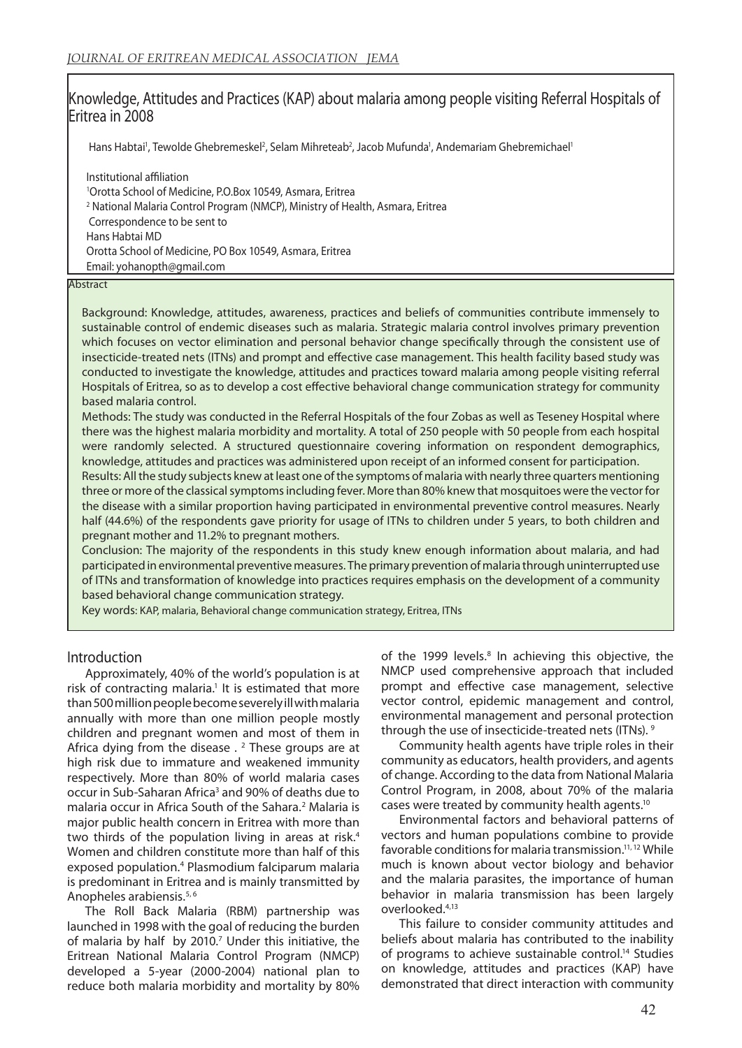# Knowledge, Attitudes and Practices (KAP) about malaria among people visiting Referral Hospitals of Eritrea in 2008

Hans Habtai<sup>1</sup>, Tewolde Ghebremeskel<sup>2</sup>, Selam Mihreteab<sup>2</sup>, Jacob Mufunda<sup>1</sup>, Andemariam Ghebremichael<sup>1</sup>

Institutional affiliation 1 Orotta School of Medicine, P.O.Box 10549, Asmara, Eritrea 2 National Malaria Control Program (NMCP), Ministry of Health, Asmara, Eritrea Correspondence to be sent to Hans Habtai MD Orotta School of Medicine, PO Box 10549, Asmara, Eritrea Email: yohanopth@gmail.com

#### Abstract

Background: Knowledge, attitudes, awareness, practices and beliefs of communities contribute immensely to sustainable control of endemic diseases such as malaria. Strategic malaria control involves primary prevention which focuses on vector elimination and personal behavior change specifically through the consistent use of insecticide-treated nets (ITNs) and prompt and effective case management. This health facility based study was conducted to investigate the knowledge, attitudes and practices toward malaria among people visiting referral Hospitals of Eritrea, so as to develop a cost effective behavioral change communication strategy for community based malaria control.

Methods: The study was conducted in the Referral Hospitals of the four Zobas as well as Teseney Hospital where there was the highest malaria morbidity and mortality. A total of 250 people with 50 people from each hospital were randomly selected. A structured questionnaire covering information on respondent demographics, knowledge, attitudes and practices was administered upon receipt of an informed consent for participation.

Results: All the study subjects knew at least one of the symptoms of malaria with nearly three quarters mentioning three or more of the classical symptoms including fever. More than 80% knew that mosquitoes were the vector for the disease with a similar proportion having participated in environmental preventive control measures. Nearly half (44.6%) of the respondents gave priority for usage of ITNs to children under 5 years, to both children and pregnant mother and 11.2% to pregnant mothers.

Conclusion: The majority of the respondents in this study knew enough information about malaria, and had participated in environmental preventive measures. The primary prevention of malaria through uninterrupted use of ITNs and transformation of knowledge into practices requires emphasis on the development of a community based behavioral change communication strategy.

Key words: KAP, malaria, Behavioral change communication strategy, Eritrea, ITNs

# Introduction

Approximately, 40% of the world's population is at risk of contracting malaria.<sup>1</sup> It is estimated that more than 500 million people become severely ill with malaria annually with more than one million people mostly children and pregnant women and most of them in Africa dying from the disease  $\cdot$  <sup>2</sup> These groups are at high risk due to immature and weakened immunity respectively. More than 80% of world malaria cases occur in Sub-Saharan Africa<sup>3</sup> and 90% of deaths due to malaria occur in Africa South of the Sahara.<sup>2</sup> Malaria is major public health concern in Eritrea with more than two thirds of the population living in areas at risk.<sup>4</sup> Women and children constitute more than half of this exposed population.<sup>4</sup> Plasmodium falciparum malaria is predominant in Eritrea and is mainly transmitted by Anopheles arabiensis.<sup>5, 6</sup>

The Roll Back Malaria (RBM) partnership was launched in 1998 with the goal of reducing the burden of malaria by half by 2010. $<sup>7</sup>$  Under this initiative, the</sup> Eritrean National Malaria Control Program (NMCP) developed a 5-year (2000-2004) national plan to reduce both malaria morbidity and mortality by 80%

of the 1999 levels.<sup>8</sup> In achieving this objective, the NMCP used comprehensive approach that included prompt and effective case management, selective vector control, epidemic management and control, environmental management and personal protection through the use of insecticide-treated nets (ITNs).<sup>9</sup>

Community health agents have triple roles in their community as educators, health providers, and agents of change. According to the data from National Malaria Control Program, in 2008, about 70% of the malaria cases were treated by community health agents.10

Environmental factors and behavioral patterns of vectors and human populations combine to provide favorable conditions for malaria transmission.11, 12 While much is known about vector biology and behavior and the malaria parasites, the importance of human behavior in malaria transmission has been largely overlooked.4,13

This failure to consider community attitudes and beliefs about malaria has contributed to the inability of programs to achieve sustainable control.<sup>14</sup> Studies on knowledge, attitudes and practices (KAP) have demonstrated that direct interaction with community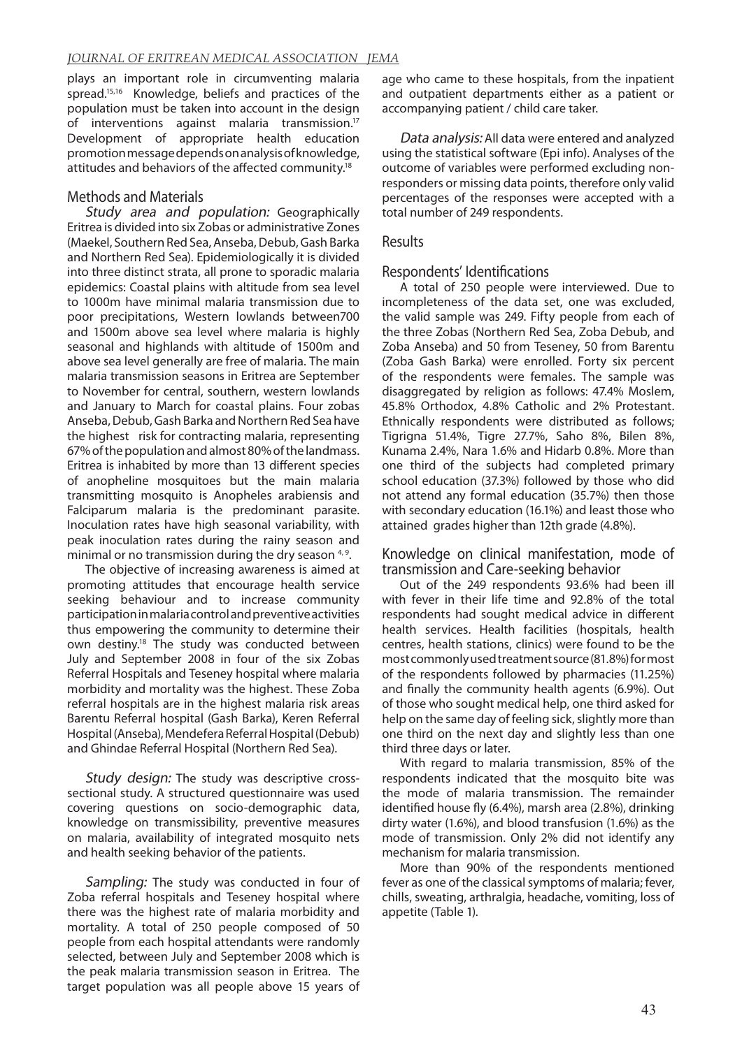plays an important role in circumventing malaria spread.<sup>15,16</sup> Knowledge, beliefs and practices of the population must be taken into account in the design of interventions against malaria transmission.17 Development of appropriate health education promotion message depends on analysis of knowledge, attitudes and behaviors of the affected community.18

# Methods and Materials

Study area and population: Geographically Eritrea is divided into six Zobas or administrative Zones (Maekel, Southern Red Sea, Anseba, Debub, Gash Barka and Northern Red Sea). Epidemiologically it is divided into three distinct strata, all prone to sporadic malaria epidemics: Coastal plains with altitude from sea level to 1000m have minimal malaria transmission due to poor precipitations, Western lowlands between700 and 1500m above sea level where malaria is highly seasonal and highlands with altitude of 1500m and above sea level generally are free of malaria. The main malaria transmission seasons in Eritrea are September to November for central, southern, western lowlands and January to March for coastal plains. Four zobas Anseba, Debub, Gash Barka and Northern Red Sea have the highest risk for contracting malaria, representing 67% of the population and almost 80% of the landmass. Eritrea is inhabited by more than 13 different species of anopheline mosquitoes but the main malaria transmitting mosquito is Anopheles arabiensis and Falciparum malaria is the predominant parasite. Inoculation rates have high seasonal variability, with peak inoculation rates during the rainy season and minimal or no transmission during the dry season  $4.9$ .

The objective of increasing awareness is aimed at promoting attitudes that encourage health service seeking behaviour and to increase community participation in malaria control and preventive activities thus empowering the community to determine their own destiny.<sup>18</sup> The study was conducted between July and September 2008 in four of the six Zobas Referral Hospitals and Teseney hospital where malaria morbidity and mortality was the highest. These Zoba referral hospitals are in the highest malaria risk areas Barentu Referral hospital (Gash Barka), Keren Referral Hospital (Anseba), Mendefera Referral Hospital (Debub) and Ghindae Referral Hospital (Northern Red Sea).

Study design: The study was descriptive crosssectional study. A structured questionnaire was used covering questions on socio-demographic data, knowledge on transmissibility, preventive measures on malaria, availability of integrated mosquito nets and health seeking behavior of the patients.

Sampling: The study was conducted in four of Zoba referral hospitals and Teseney hospital where there was the highest rate of malaria morbidity and mortality. A total of 250 people composed of 50 people from each hospital attendants were randomly selected, between July and September 2008 which is the peak malaria transmission season in Eritrea. The target population was all people above 15 years of

age who came to these hospitals, from the inpatient and outpatient departments either as a patient or accompanying patient / child care taker.

Data analysis: All data were entered and analyzed using the statistical software (Epi info). Analyses of the outcome of variables were performed excluding nonresponders or missing data points, therefore only valid percentages of the responses were accepted with a total number of 249 respondents.

# Results

# Respondents' Identifications

A total of 250 people were interviewed. Due to incompleteness of the data set, one was excluded, the valid sample was 249. Fifty people from each of the three Zobas (Northern Red Sea, Zoba Debub, and Zoba Anseba) and 50 from Teseney, 50 from Barentu (Zoba Gash Barka) were enrolled. Forty six percent of the respondents were females. The sample was disaggregated by religion as follows: 47.4% Moslem, 45.8% Orthodox, 4.8% Catholic and 2% Protestant. Ethnically respondents were distributed as follows; Tigrigna 51.4%, Tigre 27.7%, Saho 8%, Bilen 8%, Kunama 2.4%, Nara 1.6% and Hidarb 0.8%. More than one third of the subjects had completed primary school education (37.3%) followed by those who did not attend any formal education (35.7%) then those with secondary education (16.1%) and least those who attained grades higher than 12th grade (4.8%).

### Knowledge on clinical manifestation, mode of transmission and Care-seeking behavior

Out of the 249 respondents 93.6% had been ill with fever in their life time and 92.8% of the total respondents had sought medical advice in different health services. Health facilities (hospitals, health centres, health stations, clinics) were found to be the most commonly used treatment source (81.8%) for most of the respondents followed by pharmacies (11.25%) and finally the community health agents (6.9%). Out of those who sought medical help, one third asked for help on the same day of feeling sick, slightly more than one third on the next day and slightly less than one third three days or later.

With regard to malaria transmission, 85% of the respondents indicated that the mosquito bite was the mode of malaria transmission. The remainder identified house fly (6.4%), marsh area (2.8%), drinking dirty water (1.6%), and blood transfusion (1.6%) as the mode of transmission. Only 2% did not identify any mechanism for malaria transmission.

More than 90% of the respondents mentioned fever as one of the classical symptoms of malaria; fever, chills, sweating, arthralgia, headache, vomiting, loss of appetite (Table 1).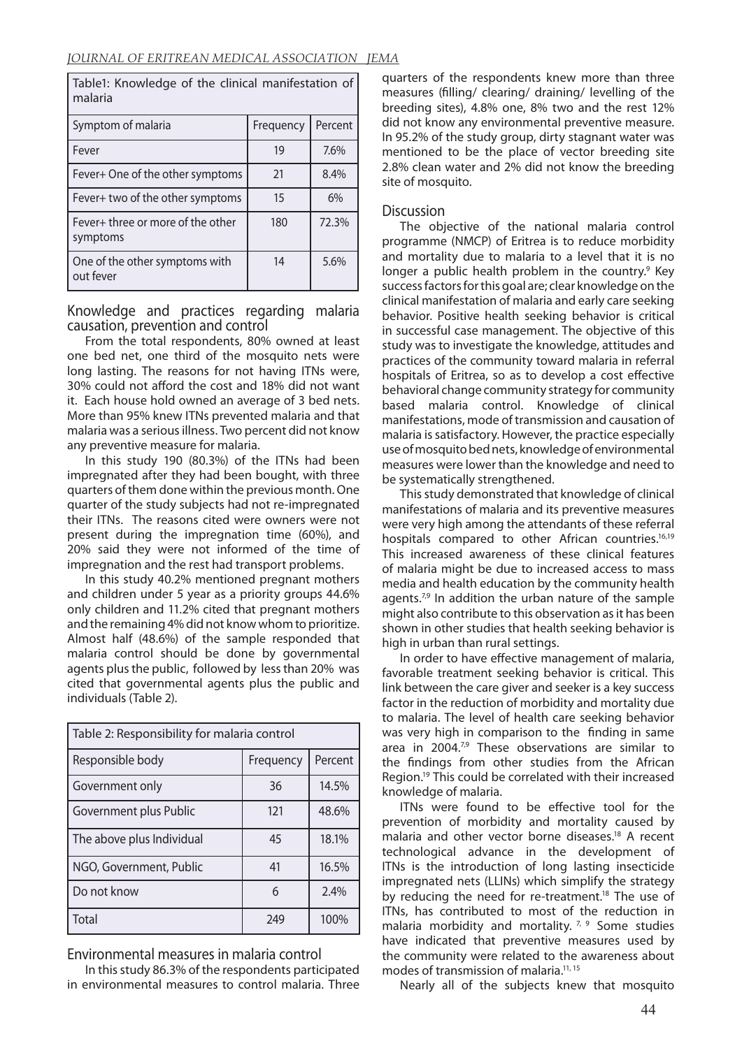Table1: Knowledge of the clinical manifestation of malaria

| Symptom of malaria                            | Frequency | Percent |
|-----------------------------------------------|-----------|---------|
| Fever                                         | 19        | 7.6%    |
| Fever+ One of the other symptoms              | 21        | 8.4%    |
| Fever+ two of the other symptoms              | 15        | 6%      |
| Fever+ three or more of the other<br>symptoms | 180       | 72.3%   |
| One of the other symptoms with<br>out fever   | 14        | 5.6%    |

Knowledge and practices regarding malaria causation, prevention and control

From the total respondents, 80% owned at least one bed net, one third of the mosquito nets were long lasting. The reasons for not having ITNs were, 30% could not afford the cost and 18% did not want it. Each house hold owned an average of 3 bed nets. More than 95% knew ITNs prevented malaria and that malaria was a serious illness. Two percent did not know any preventive measure for malaria.

In this study 190 (80.3%) of the ITNs had been impregnated after they had been bought, with three quarters of them done within the previous month. One quarter of the study subjects had not re-impregnated their ITNs. The reasons cited were owners were not present during the impregnation time (60%), and 20% said they were not informed of the time of impregnation and the rest had transport problems.

In this study 40.2% mentioned pregnant mothers and children under 5 year as a priority groups 44.6% only children and 11.2% cited that pregnant mothers and the remaining 4% did not know whom to prioritize. Almost half (48.6%) of the sample responded that malaria control should be done by governmental agents plus the public, followed by less than 20% was cited that governmental agents plus the public and individuals (Table 2).

| Table 2: Responsibility for malaria control |           |         |  |
|---------------------------------------------|-----------|---------|--|
| Responsible body                            | Frequency | Percent |  |
| Government only                             | 36        | 14.5%   |  |
| Government plus Public                      | 121       | 48.6%   |  |
| The above plus Individual                   | 45        | 18.1%   |  |
| NGO, Government, Public                     | 41        | 16.5%   |  |
| Do not know                                 | 6         | 2.4%    |  |
| Total                                       | 249       | 100%    |  |

Environmental measures in malaria control

In this study 86.3% of the respondents participated in environmental measures to control malaria. Three

quarters of the respondents knew more than three measures (filling/ clearing/ draining/ levelling of the breeding sites), 4.8% one, 8% two and the rest 12% did not know any environmental preventive measure. In 95.2% of the study group, dirty stagnant water was mentioned to be the place of vector breeding site 2.8% clean water and 2% did not know the breeding site of mosquito.

## Discussion

The objective of the national malaria control programme (NMCP) of Eritrea is to reduce morbidity and mortality due to malaria to a level that it is no longer a public health problem in the country.<sup>9</sup> Key success factors for this goal are; clear knowledge on the clinical manifestation of malaria and early care seeking behavior. Positive health seeking behavior is critical in successful case management. The objective of this study was to investigate the knowledge, attitudes and practices of the community toward malaria in referral hospitals of Eritrea, so as to develop a cost effective behavioral change community strategy for community based malaria control. Knowledge of clinical manifestations, mode of transmission and causation of malaria is satisfactory. However, the practice especially use of mosquito bed nets, knowledge of environmental measures were lower than the knowledge and need to be systematically strengthened.

This study demonstrated that knowledge of clinical manifestations of malaria and its preventive measures were very high among the attendants of these referral hospitals compared to other African countries.<sup>16,19</sup> This increased awareness of these clinical features of malaria might be due to increased access to mass media and health education by the community health agents.<sup>7,9</sup> In addition the urban nature of the sample might also contribute to this observation as it has been shown in other studies that health seeking behavior is high in urban than rural settings.

In order to have effective management of malaria, favorable treatment seeking behavior is critical. This link between the care giver and seeker is a key success factor in the reduction of morbidity and mortality due to malaria. The level of health care seeking behavior was very high in comparison to the finding in same area in 2004.<sup>7,9</sup> These observations are similar to the findings from other studies from the African Region.19 This could be correlated with their increased knowledge of malaria.

ITNs were found to be effective tool for the prevention of morbidity and mortality caused by malaria and other vector borne diseases.<sup>18</sup> A recent technological advance in the development of ITNs is the introduction of long lasting insecticide impregnated nets (LLINs) which simplify the strategy by reducing the need for re-treatment.<sup>18</sup> The use of ITNs, has contributed to most of the reduction in malaria morbidity and mortality.  $7, 9$  Some studies have indicated that preventive measures used by the community were related to the awareness about modes of transmission of malaria.11, 15

Nearly all of the subjects knew that mosquito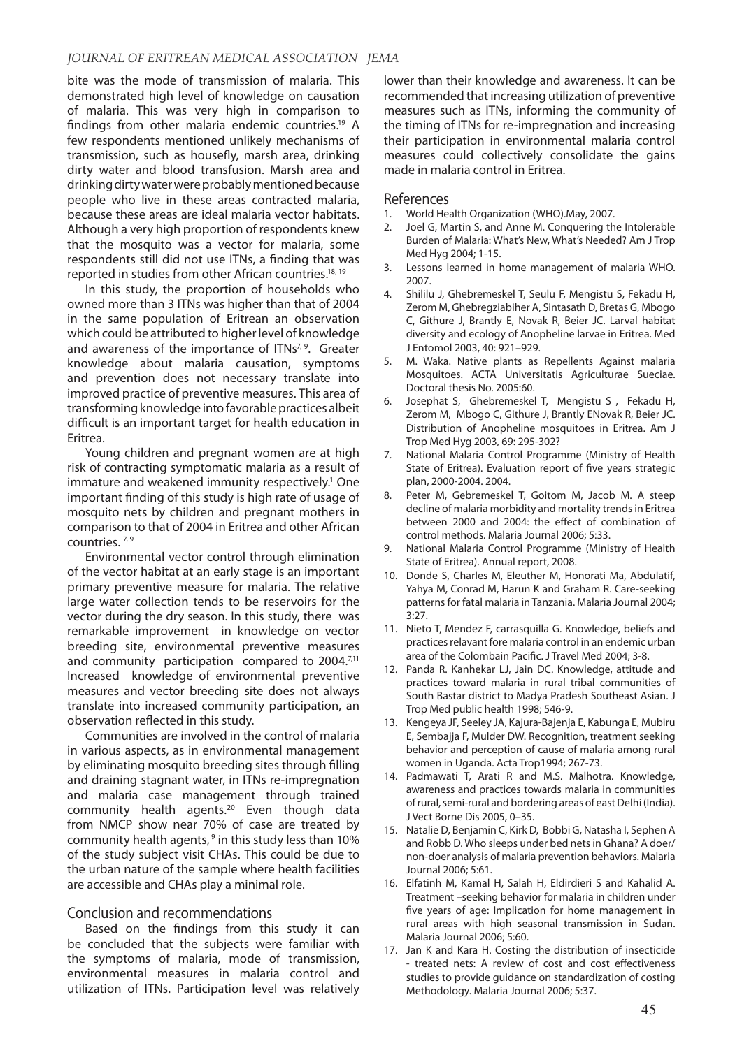bite was the mode of transmission of malaria. This demonstrated high level of knowledge on causation of malaria. This was very high in comparison to findings from other malaria endemic countries.<sup>19</sup> A few respondents mentioned unlikely mechanisms of transmission, such as housefly, marsh area, drinking dirty water and blood transfusion. Marsh area and drinking dirty water were probably mentioned because people who live in these areas contracted malaria, because these areas are ideal malaria vector habitats. Although a very high proportion of respondents knew that the mosquito was a vector for malaria, some respondents still did not use ITNs, a finding that was reported in studies from other African countries.18, 19

In this study, the proportion of households who owned more than 3 ITNs was higher than that of 2004 in the same population of Eritrean an observation which could be attributed to higher level of knowledge and awareness of the importance of  $ITNs^{7,9}$ . Greater knowledge about malaria causation, symptoms and prevention does not necessary translate into improved practice of preventive measures. This area of transforming knowledge into favorable practices albeit difficult is an important target for health education in Eritrea.

Young children and pregnant women are at high risk of contracting symptomatic malaria as a result of immature and weakened immunity respectively.<sup>1</sup> One important finding of this study is high rate of usage of mosquito nets by children and pregnant mothers in comparison to that of 2004 in Eritrea and other African countries. 7, 9

Environmental vector control through elimination of the vector habitat at an early stage is an important primary preventive measure for malaria. The relative large water collection tends to be reservoirs for the vector during the dry season. In this study, there was remarkable improvement in knowledge on vector breeding site, environmental preventive measures and community participation compared to 2004.<sup>7,11</sup> Increased knowledge of environmental preventive measures and vector breeding site does not always translate into increased community participation, an observation reflected in this study.

Communities are involved in the control of malaria in various aspects, as in environmental management by eliminating mosquito breeding sites through filling and draining stagnant water, in ITNs re-impregnation and malaria case management through trained community health agents.20 Even though data from NMCP show near 70% of case are treated by community health agents,  $9$  in this study less than 10% of the study subject visit CHAs. This could be due to the urban nature of the sample where health facilities are accessible and CHAs play a minimal role.

## Conclusion and recommendations

Based on the findings from this study it can be concluded that the subjects were familiar with the symptoms of malaria, mode of transmission, environmental measures in malaria control and utilization of ITNs. Participation level was relatively lower than their knowledge and awareness. It can be recommended that increasing utilization of preventive measures such as ITNs, informing the community of the timing of ITNs for re-impregnation and increasing their participation in environmental malaria control measures could collectively consolidate the gains made in malaria control in Eritrea.

#### References

- 1. World Health Organization (WHO).May, 2007.
- 2. Joel G, Martin S, and Anne M. Conquering the Intolerable Burden of Malaria: What's New, What's Needed? Am J Trop Med Hyg 2004; 1-15.
- 3. Lessons learned in home management of malaria WHO. 2007.
- 4. Shililu J, Ghebremeskel T, Seulu F, Mengistu S, Fekadu H, Zerom M, Ghebregziabiher A, Sintasath D, Bretas G, Mbogo C, Githure J, Brantly E, Novak R, Beier JC. Larval habitat diversity and ecology of Anopheline larvae in Eritrea. Med J Entomol 2003, 40: 921–929.
- 5. M. Waka. Native plants as Repellents Against malaria Mosquitoes. ACTA Universitatis Agriculturae Sueciae. Doctoral thesis No. 2005:60.
- Josephat S, Ghebremeskel T, Mengistu S, Fekadu H, Zerom M, Mbogo C, Githure J, Brantly ENovak R, Beier JC. Distribution of Anopheline mosquitoes in Eritrea. Am J Trop Med Hyg 2003, 69: 295-302?
- 7. National Malaria Control Programme (Ministry of Health State of Eritrea). Evaluation report of five years strategic plan, 2000-2004. 2004.
- 8. Peter M, Gebremeskel T, Goitom M, Jacob M. A steep decline of malaria morbidity and mortality trends in Eritrea between 2000 and 2004: the effect of combination of control methods. Malaria Journal 2006; 5:33.
- 9. National Malaria Control Programme (Ministry of Health State of Eritrea). Annual report, 2008.
- 10. Donde S, Charles M, Eleuther M, Honorati Ma, Abdulatif, Yahya M, Conrad M, Harun K and Graham R. Care-seeking patterns for fatal malaria in Tanzania. Malaria Journal 2004; 3:27.
- 11. Nieto T, Mendez F, carrasquilla G. Knowledge, beliefs and practices relavant fore malaria control in an endemic urban area of the Colombain Pacific. J Travel Med 2004; 3-8.
- 12. Panda R. Kanhekar LJ, Jain DC. Knowledge, attitude and practices toward malaria in rural tribal communities of South Bastar district to Madya Pradesh Southeast Asian. J Trop Med public health 1998; 546-9.
- 13. Kengeya JF, Seeley JA, Kajura-Bajenja E, Kabunga E, Mubiru E, Sembajja F, Mulder DW. Recognition, treatment seeking behavior and perception of cause of malaria among rural women in Uganda. Acta Trop1994; 267-73.
- 14. Padmawati T, Arati R and M.S. Malhotra. Knowledge, awareness and practices towards malaria in communities of rural, semi-rural and bordering areas of east Delhi (India). J Vect Borne Dis 2005, 0–35.
- 15. Natalie D, Benjamin C, Kirk D, Bobbi G, Natasha I, Sephen A and Robb D. Who sleeps under bed nets in Ghana? A doer/ non-doer analysis of malaria prevention behaviors. Malaria Journal 2006; 5:61.
- 16. Elfatinh M, Kamal H, Salah H, Eldirdieri S and Kahalid A. Treatment –seeking behavior for malaria in children under five years of age: Implication for home management in rural areas with high seasonal transmission in Sudan. Malaria Journal 2006; 5:60.
- 17. Jan K and Kara H. Costing the distribution of insecticide - treated nets: A review of cost and cost effectiveness studies to provide guidance on standardization of costing Methodology. Malaria Journal 2006; 5:37.